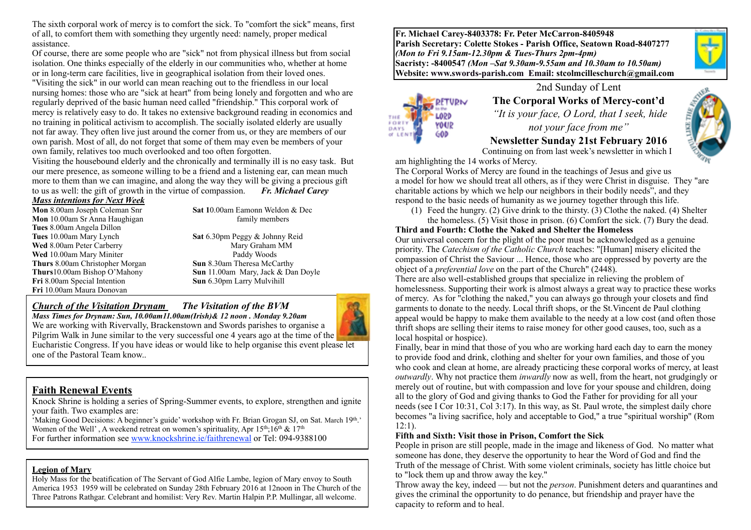The sixth corporal work of mercy is to comfort the sick. To "comfort the sick" means, first of all, to comfort them with something they urgently need: namely, proper medical assistance.

Of course, there are some people who are "sick" not from physical illness but from social isolation. One thinks especially of the elderly in our communities who, whether at home or in long-term care facilities, live in geographical isolation from their loved ones. "Visiting the sick" in our world can mean reaching out to the friendless in our local nursing homes: those who are "sick at heart" from being lonely and forgotten and who are regularly deprived of the basic human need called "friendship." This corporal work of mercy is relatively easy to do. It takes no extensive background reading in economics and no training in political activism to accomplish. The socially isolated elderly are usually not far away. They often live just around the corner from us, or they are members of our own parish. Most of all, do not forget that some of them may even be members of your own family, relatives too much overlooked and too often forgotten.

Visiting the housebound elderly and the chronically and terminally ill is no easy task. But our mere presence, as someone willing to be a friend and a listening ear, can mean much more to them than we can imagine, and along the way they will be giving a precious gift to us as well: the gift of growth in the virtue of compassion. *Fr. Michael Carey*

# *Mass intentions for Next Week*

**Mon** 10.00am Sr Anna Haughigan family members **Tues** 8.00am Angela Dillon **Tues** 10.00am Mary Lynch **Sat** 6.30pm Peggy & Johnny Reid **Wed** 8.00am Peter Carberry Mary Mary Graham MM<br> **Wed** 10.00am Mary Miniter Paddy Woods **Wed** 10.00am Mary Miniter **Thurs** 8.00am Christopher Morgan **Sun** 8.30am Theresa McCarthy **Fri** 8.00am Special Intention **Sun** 6.30pm Larry Mulvihill **Fri** 10.00am Maura Donovan

**Sat 10.00am Eamonn Weldon & Dec.** 

**Thurs**10.00am Bishop O'Mahony **Sun** 11.00am Mary, Jack & Dan Doyle

#### *Church of the Visitation Drynam**The Visitation of the BVM*



*Mass Times for Drynam: Sun, 10.00am11.00am(Irish)& 12 noon . Monday 9.20am*  We are working with Rivervally, Brackenstown and Swords parishes to organise a Pilgrim Walk in June similar to the very successful one 4 years ago at the time of the Eucharistic Congress. If you have ideas or would like to help organise this event please let one of the Pastoral Team know..

#### **Faith Renewal Events**

Knock Shrine is holding a series of Spring-Summer events, to explore, strengthen and ignite your faith. Two examples are:

'Making Good Decisions: A beginner's guide' workshop with Fr. Brian Grogan SJ, on Sat. March 19th.' Women of the Well', A weekend retreat on women's spirituality, Apr 15<sup>th</sup>;16<sup>th</sup> & 17<sup>th</sup> For further information see [www.knockshrine.ie/faithrenewal](http://www.knockshrine.ie/faithrenewal) or Tel: 094-9388100

#### **Legion of Mary**

Holy Mass for the beatification of The Servant of God Alfie Lambe, legion of Mary envoy to South America 1953 1959 will be celebrated on Sunday 28th February 2016 at 12noon in The Church of the Three Patrons Rathgar. Celebrant and homilist: Very Rev. Martin Halpin P.P. Mullingar, all welcome.

**Fr. Michael Carey-8403378: Fr. Peter McCarron-8405948 Parish Secretary: Colette Stokes - Parish Office, Seatown Road-8407277**  *(Mon to Fri 9.15am-12.30pm & Tues-Thurs 2pm-4pm)*  **Sacristy: -8400547** *(Mon –Sat 9.30am-9.55am and 10.30am to 10.50am)* **Website: [www.swords-parish.com Email:](http://www.swords-parish.com%20%20email) stcolmcilleschurch@gmail.com**



## 2nd Sunday of Lent **The Corporal Works of Mercy-cont'd**   *"It is your face, O Lord, that I seek, hide*

*not your face from me"*  **Newsletter Sunday 21st February 2016** 

Continuing on from last week's newsletter in which I

am highlighting the 14 works of Mercy.

The Corporal Works of Mercy are found in the teachings of Jesus and give us a model for how we should treat all others, as if they were Christ in disguise. They "are charitable actions by which we help our neighbors in their bodily needs", and they respond to the basic needs of humanity as we journey together through this life.

(1) Feed the hungry. (2) Give drink to the thirsty. (3) Clothe the naked. (4) Shelter the homeless. (5) Visit those in prison. (6) Comfort the sick. (7) Bury the dead.

#### **Third and Fourth: Clothe the Naked and Shelter the Homeless**

Our universal concern for the plight of the poor must be acknowledged as a genuine priority. The *Catechism of the Catholic Church* teaches: "[Human] misery elicited the compassion of Christ the Saviour ... Hence, those who are oppressed by poverty are the object of a *preferential love* on the part of the Church" (2448).

There are also well-established groups that specialize in relieving the problem of homelessness. Supporting their work is almost always a great way to practice these works of mercy. As for "clothing the naked," you can always go through your closets and find garments to donate to the needy. Local thrift shops, or the St.Vincent de Paul clothing appeal would be happy to make them available to the needy at a low cost (and often those thrift shops are selling their items to raise money for other good causes, too, such as a local hospital or hospice).

Finally, bear in mind that those of you who are working hard each day to earn the money to provide food and drink, clothing and shelter for your own families, and those of you who cook and clean at home, are already practicing these corporal works of mercy, at least *outwardly*. Why not practice them *inwardly* now as well, from the heart, not grudgingly or merely out of routine, but with compassion and love for your spouse and children, doing all to the glory of God and giving thanks to God the Father for providing for all your needs (see I Cor 10:31, Col 3:17). In this way, as St. Paul wrote, the simplest daily chore becomes "a living sacrifice, holy and acceptable to God," a true "spiritual worship" (Rom  $12:1$ ).

#### **Fifth and Sixth: Visit those in Prison, Comfort the Sick**

People in prison are still people, made in the image and likeness of God. No matter what someone has done, they deserve the opportunity to hear the Word of God and find the Truth of the message of Christ. With some violent criminals, society has little choice but to "lock them up and throw away the key."

Throw away the key, indeed — but not the *person*. Punishment deters and quarantines and gives the criminal the opportunity to do penance, but friendship and prayer have the capacity to reform and to heal.